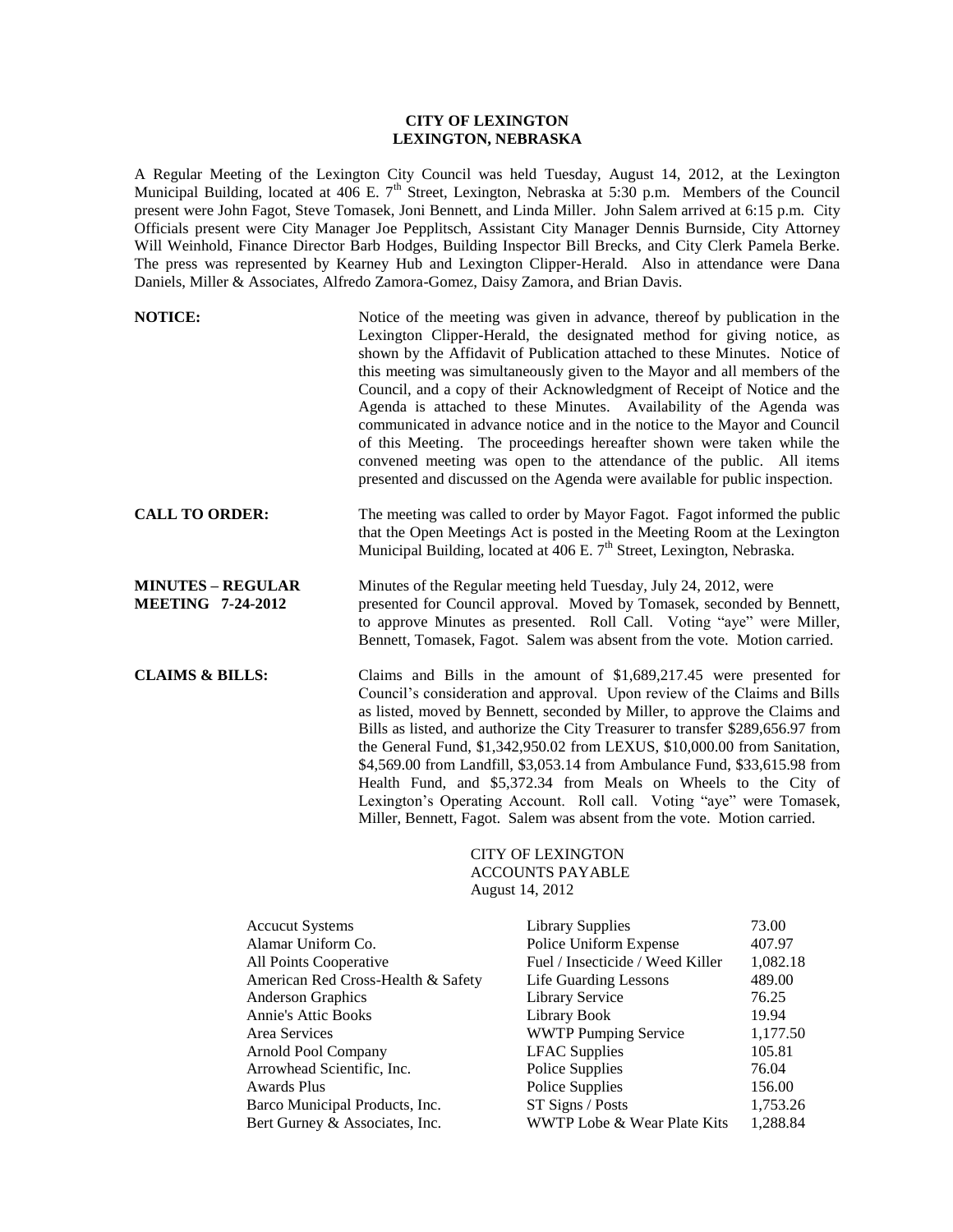## **CITY OF LEXINGTON LEXINGTON, NEBRASKA**

A Regular Meeting of the Lexington City Council was held Tuesday, August 14, 2012, at the Lexington Municipal Building, located at  $406$  E.  $7<sup>th</sup>$  Street, Lexington, Nebraska at 5:30 p.m. Members of the Council present were John Fagot, Steve Tomasek, Joni Bennett, and Linda Miller. John Salem arrived at 6:15 p.m. City Officials present were City Manager Joe Pepplitsch, Assistant City Manager Dennis Burnside, City Attorney Will Weinhold, Finance Director Barb Hodges, Building Inspector Bill Brecks, and City Clerk Pamela Berke. The press was represented by Kearney Hub and Lexington Clipper-Herald. Also in attendance were Dana Daniels, Miller & Associates, Alfredo Zamora-Gomez, Daisy Zamora, and Brian Davis.

| <b>NOTICE:</b>                                       | Notice of the meeting was given in advance, thereof by publication in the<br>Lexington Clipper-Herald, the designated method for giving notice, as<br>shown by the Affidavit of Publication attached to these Minutes. Notice of<br>this meeting was simultaneously given to the Mayor and all members of the<br>Council, and a copy of their Acknowledgment of Receipt of Notice and the<br>Agenda is attached to these Minutes. Availability of the Agenda was<br>communicated in advance notice and in the notice to the Mayor and Council<br>of this Meeting. The proceedings hereafter shown were taken while the<br>convened meeting was open to the attendance of the public. All items<br>presented and discussed on the Agenda were available for public inspection. |
|------------------------------------------------------|-------------------------------------------------------------------------------------------------------------------------------------------------------------------------------------------------------------------------------------------------------------------------------------------------------------------------------------------------------------------------------------------------------------------------------------------------------------------------------------------------------------------------------------------------------------------------------------------------------------------------------------------------------------------------------------------------------------------------------------------------------------------------------|
| <b>CALL TO ORDER:</b>                                | The meeting was called to order by Mayor Fagot. Fagot informed the public<br>that the Open Meetings Act is posted in the Meeting Room at the Lexington<br>Municipal Building, located at 406 E. 7 <sup>th</sup> Street, Lexington, Nebraska.                                                                                                                                                                                                                                                                                                                                                                                                                                                                                                                                  |
| <b>MINUTES - REGULAR</b><br><b>MEETING 7-24-2012</b> | Minutes of the Regular meeting held Tuesday, July 24, 2012, were<br>presented for Council approval. Moved by Tomasek, seconded by Bennett,<br>to approve Minutes as presented. Roll Call. Voting "aye" were Miller,<br>Bennett, Tomasek, Fagot. Salem was absent from the vote. Motion carried.                                                                                                                                                                                                                                                                                                                                                                                                                                                                               |
| <b>CLAIMS &amp; BILLS:</b>                           | Claims and Bills in the amount of \$1,689,217.45 were presented for<br>Council's consideration and approval. Upon review of the Claims and Bills<br>as listed, moved by Bennett, seconded by Miller, to approve the Claims and<br>Bills as listed, and authorize the City Treasurer to transfer \$289,656.97 from<br>the General Fund, \$1,342,950.02 from LEXUS, \$10,000.00 from Sanitation,<br>\$4,569.00 from Landfill, \$3,053.14 from Ambulance Fund, \$33,615.98 from<br>Health Fund, and \$5,372.34 from Meals on Wheels to the City of<br>Lexington's Operating Account. Roll call. Voting "aye" were Tomasek,                                                                                                                                                       |

## CITY OF LEXINGTON ACCOUNTS PAYABLE August 14, 2012

Miller, Bennett, Fagot. Salem was absent from the vote. Motion carried.

| <b>Accucut Systems</b>             | <b>Library Supplies</b>          | 73.00    |
|------------------------------------|----------------------------------|----------|
| Alamar Uniform Co.                 | Police Uniform Expense           | 407.97   |
| All Points Cooperative             | Fuel / Insecticide / Weed Killer | 1,082.18 |
| American Red Cross-Health & Safety | Life Guarding Lessons            | 489.00   |
| <b>Anderson Graphics</b>           | <b>Library Service</b>           | 76.25    |
| <b>Annie's Attic Books</b>         | Library Book                     | 19.94    |
| Area Services                      | <b>WWTP Pumping Service</b>      | 1,177.50 |
| Arnold Pool Company                | <b>LFAC</b> Supplies             | 105.81   |
| Arrowhead Scientific, Inc.         | Police Supplies                  | 76.04    |
| Awards Plus                        | Police Supplies                  | 156.00   |
| Barco Municipal Products, Inc.     | ST Signs / Posts                 | 1,753.26 |
| Bert Gurney & Associates, Inc.     | WWTP Lobe & Wear Plate Kits      | 1,288.84 |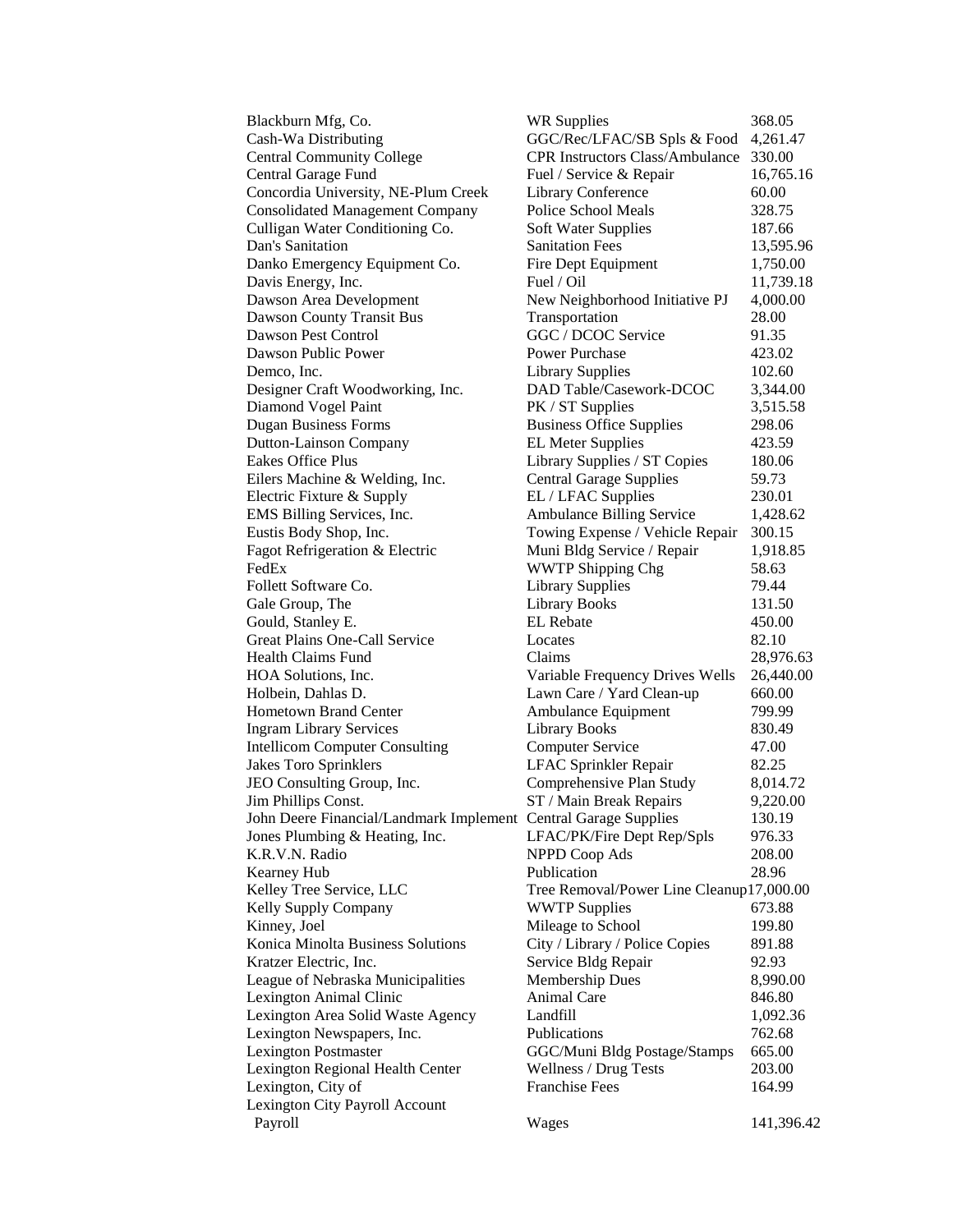| Blackburn Mfg, Co.                                              | <b>WR Supplies</b>                                           | 368.05              |
|-----------------------------------------------------------------|--------------------------------------------------------------|---------------------|
| Cash-Wa Distributing                                            | GGC/Rec/LFAC/SB Spls & Food                                  | 4,261.47            |
| <b>Central Community College</b>                                | <b>CPR Instructors Class/Ambulance</b>                       | 330.00              |
| Central Garage Fund                                             | Fuel / Service & Repair                                      | 16,765.16           |
| Concordia University, NE-Plum Creek                             | Library Conference                                           | 60.00               |
| <b>Consolidated Management Company</b>                          | <b>Police School Meals</b>                                   | 328.75              |
| Culligan Water Conditioning Co.                                 | Soft Water Supplies                                          | 187.66              |
| Dan's Sanitation                                                | <b>Sanitation Fees</b>                                       | 13,595.96           |
| Danko Emergency Equipment Co.                                   | Fire Dept Equipment                                          | 1,750.00            |
| Davis Energy, Inc.                                              | Fuel / Oil                                                   | 11,739.18           |
| Dawson Area Development                                         | New Neighborhood Initiative PJ                               | 4,000.00            |
| Dawson County Transit Bus                                       | Transportation                                               | 28.00               |
| Dawson Pest Control                                             | GGC / DCOC Service                                           | 91.35               |
| Dawson Public Power                                             | <b>Power Purchase</b>                                        | 423.02              |
| Demco, Inc.                                                     | <b>Library Supplies</b>                                      | 102.60              |
| Designer Craft Woodworking, Inc.                                | DAD Table/Casework-DCOC                                      | 3,344.00            |
| Diamond Vogel Paint                                             | PK / ST Supplies                                             | 3,515.58            |
| <b>Dugan Business Forms</b>                                     | <b>Business Office Supplies</b>                              | 298.06              |
| <b>Dutton-Lainson Company</b>                                   | <b>EL Meter Supplies</b>                                     | 423.59              |
| <b>Eakes Office Plus</b>                                        | Library Supplies / ST Copies                                 | 180.06              |
| Eilers Machine & Welding, Inc.                                  | <b>Central Garage Supplies</b>                               | 59.73               |
| Electric Fixture & Supply                                       | EL / LFAC Supplies                                           | 230.01              |
| EMS Billing Services, Inc.                                      | Ambulance Billing Service                                    | 1,428.62            |
| Eustis Body Shop, Inc.                                          | Towing Expense / Vehicle Repair                              | 300.15              |
| Fagot Refrigeration & Electric                                  | Muni Bldg Service / Repair                                   | 1,918.85            |
| FedEx                                                           | <b>WWTP Shipping Chg</b>                                     | 58.63               |
| Follett Software Co.                                            | <b>Library Supplies</b>                                      | 79.44               |
| Gale Group, The                                                 | <b>Library Books</b>                                         | 131.50              |
| Gould, Stanley E.                                               | <b>EL</b> Rebate                                             | 450.00              |
| Great Plains One-Call Service<br>Health Claims Fund             | Locates<br>Claims                                            | 82.10               |
| HOA Solutions, Inc.                                             |                                                              | 28,976.63           |
| Holbein, Dahlas D.                                              | Variable Frequency Drives Wells<br>Lawn Care / Yard Clean-up | 26,440.00<br>660.00 |
| <b>Hometown Brand Center</b>                                    | Ambulance Equipment                                          | 799.99              |
| <b>Ingram Library Services</b>                                  | <b>Library Books</b>                                         | 830.49              |
| <b>Intellicom Computer Consulting</b>                           | <b>Computer Service</b>                                      | 47.00               |
| <b>Jakes Toro Sprinklers</b>                                    | LFAC Sprinkler Repair                                        | 82.25               |
| JEO Consulting Group, Inc.                                      | Comprehensive Plan Study                                     | 8,014.72            |
| Jim Phillips Const.                                             | ST / Main Break Repairs                                      | 9,220.00            |
| John Deere Financial/Landmark Implement Central Garage Supplies |                                                              | 130.19              |
| Jones Plumbing & Heating, Inc.                                  | LFAC/PK/Fire Dept Rep/Spls                                   | 976.33              |
| K.R.V.N. Radio                                                  | <b>NPPD Coop Ads</b>                                         | 208.00              |
| Kearney Hub                                                     | Publication                                                  | 28.96               |
| Kelley Tree Service, LLC                                        | Tree Removal/Power Line Cleanup17,000.00                     |                     |
| Kelly Supply Company                                            | <b>WWTP Supplies</b>                                         | 673.88              |
| Kinney, Joel                                                    | Mileage to School                                            | 199.80              |
| Konica Minolta Business Solutions                               | City / Library / Police Copies                               | 891.88              |
| Kratzer Electric, Inc.                                          | Service Bldg Repair                                          | 92.93               |
| League of Nebraska Municipalities                               | Membership Dues                                              | 8,990.00            |
| Lexington Animal Clinic                                         | Animal Care                                                  | 846.80              |
| Lexington Area Solid Waste Agency                               | Landfill                                                     | 1,092.36            |
| Lexington Newspapers, Inc.                                      | Publications                                                 | 762.68              |
| <b>Lexington Postmaster</b>                                     | GGC/Muni Bldg Postage/Stamps                                 | 665.00              |
| Lexington Regional Health Center                                | Wellness / Drug Tests                                        | 203.00              |
| Lexington, City of                                              | <b>Franchise Fees</b>                                        | 164.99              |
| Lexington City Payroll Account                                  |                                                              |                     |
| Payroll                                                         | Wages                                                        | 141,396.42          |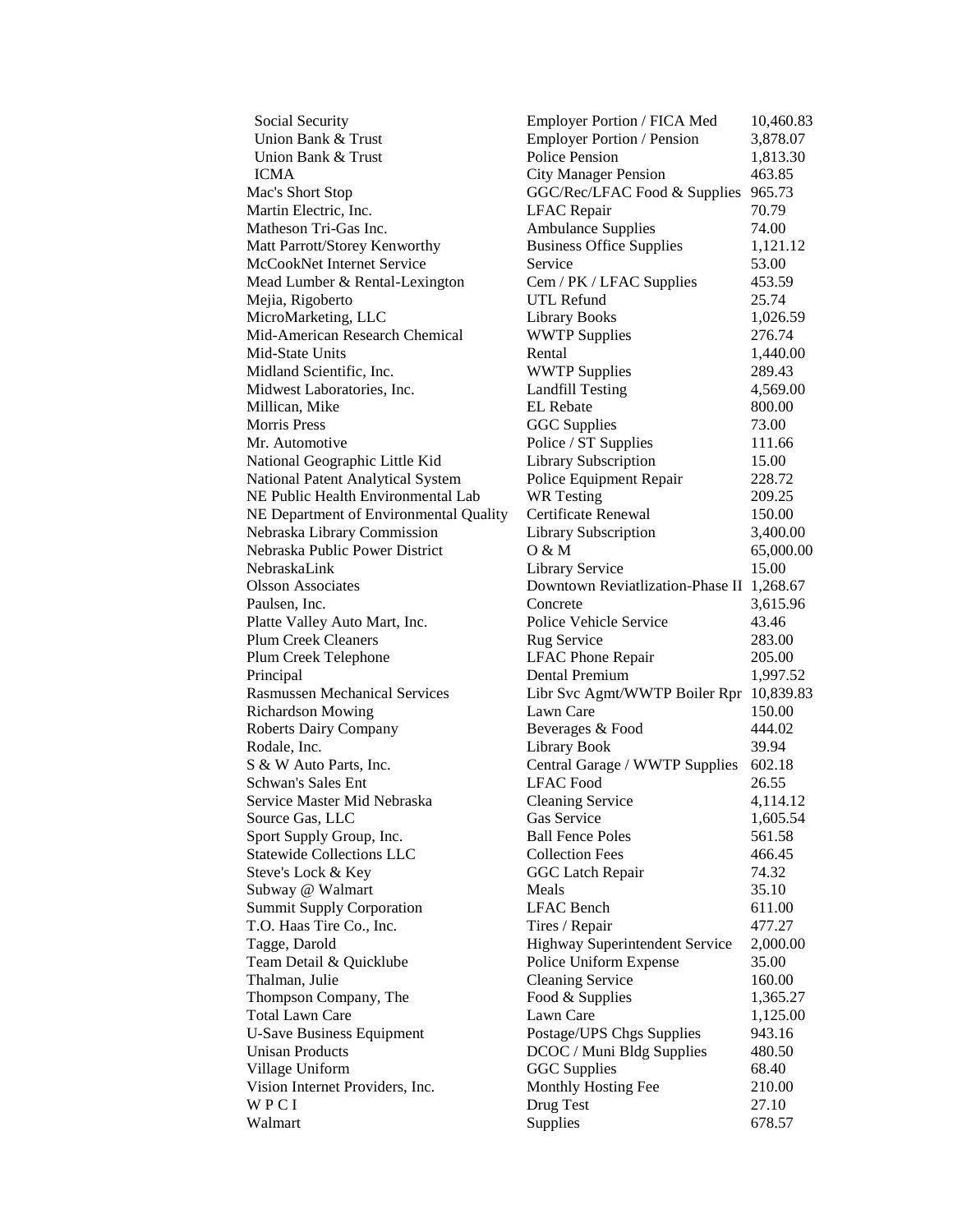Union Bank & Trust Employer Portion / Pension 3,878.07 Union Bank & Trust **Police Pension** 1,813.30 ICMA City Manager Pension 463.85 Mac's Short Stop GGC/Rec/LFAC Food & Supplies 965.73 Martin Electric, Inc. The LEAC Repair 70.79 Matheson Tri-Gas Inc.  $\mu$  Ambulance Supplies 74.00 Matt Parrott/Storey Kenworthy Business Office Supplies 1,121.12 McCookNet Internet Service Service Service 53.00 Mead Lumber & Rental-Lexington Cem / PK / LFAC Supplies 453.59 Mejia, Rigoberto UTL Refund 25.74 MicroMarketing, LLC Library Books 1,026.59 Mid-American Research Chemical WWTP Supplies 276.74 Mid-State Units **1,440.00** Rental 1,440.00 Midland Scientific, Inc. **WWTP Supplies** 289.43 Midwest Laboratories, Inc. Landfill Testing 4,569.00 Millican, Mike **EL Reparation EL Rebate** 800.00 Morris Press **CGC Supplies** 73.00 Mr. Automotive **Police / ST Supplies** 111.66 National Geographic Little Kid Library Subscription 15.00 National Patent Analytical System Police Equipment Repair 228.72 NE Public Health Environmental Lab WR Testing 209.25 NE Department of Environmental Quality Certificate Renewal 150.00 Nebraska Library Commission Library Subscription 3,400.00 Nebraska Public Power District O & M 65,000.00 NebraskaLink Library Service 15.00 Olsson Associates Downtown Reviatlization-Phase II 1,268.67 Paulsen, Inc. Concrete 2,615.96 Platte Valley Auto Mart, Inc. Police Vehicle Service 43.46 Plum Creek Cleaners Rug Service 283.00 Plum Creek Telephone LFAC Phone Repair 205.00 Principal Dental Premium 1,997.52 Rasmussen Mechanical Services Libr Svc Agmt/WWTP Boiler Rpr 10,839.83 Richardson Mowing Lawn Care 150.00 Roberts Dairy Company Beverages & Food 444.02 Rodale, Inc. 6. The College of Library Book 39.94 S & W Auto Parts, Inc. Central Garage / WWTP Supplies 602.18 Schwan's Sales Ent LFAC Food 26.55 Service Master Mid Nebraska Cleaning Service 4,114.12 Source Gas, LLC Gas Service 1,605.54 Sport Supply Group, Inc. Ball Fence Poles 561.58 Statewide Collections LLC Collection Fees 466.45 Steve's Lock & Key GGC Latch Repair 74.32 Subway @ Walmart Meals Meals 35.10 Summit Supply Corporation LFAC Bench 611.00 T.O. Haas Tire Co., Inc. Tires / Repair 477.27 Tagge, Darold Highway Superintendent Service 2,000.00 Team Detail & Quicklube Police Uniform Expense 35.00 Thalman, Julie **Cleaning Service** 160.00 Thompson Company, The Food & Supplies 1,365.27 Total Lawn Care Lawn Care Lawn Care 1,125.00 U-Save Business Equipment Postage/UPS Chgs Supplies 943.16 Unisan Products DCOC / Muni Bldg Supplies 480.50 Village Uniform GGC Supplies 68.40 Vision Internet Providers, Inc. Monthly Hosting Fee 210.00 W P C I Drug Test 27.10 Walmart Supplies 678.57

Social Security **Employer Portion / FICA Med** 10,460.83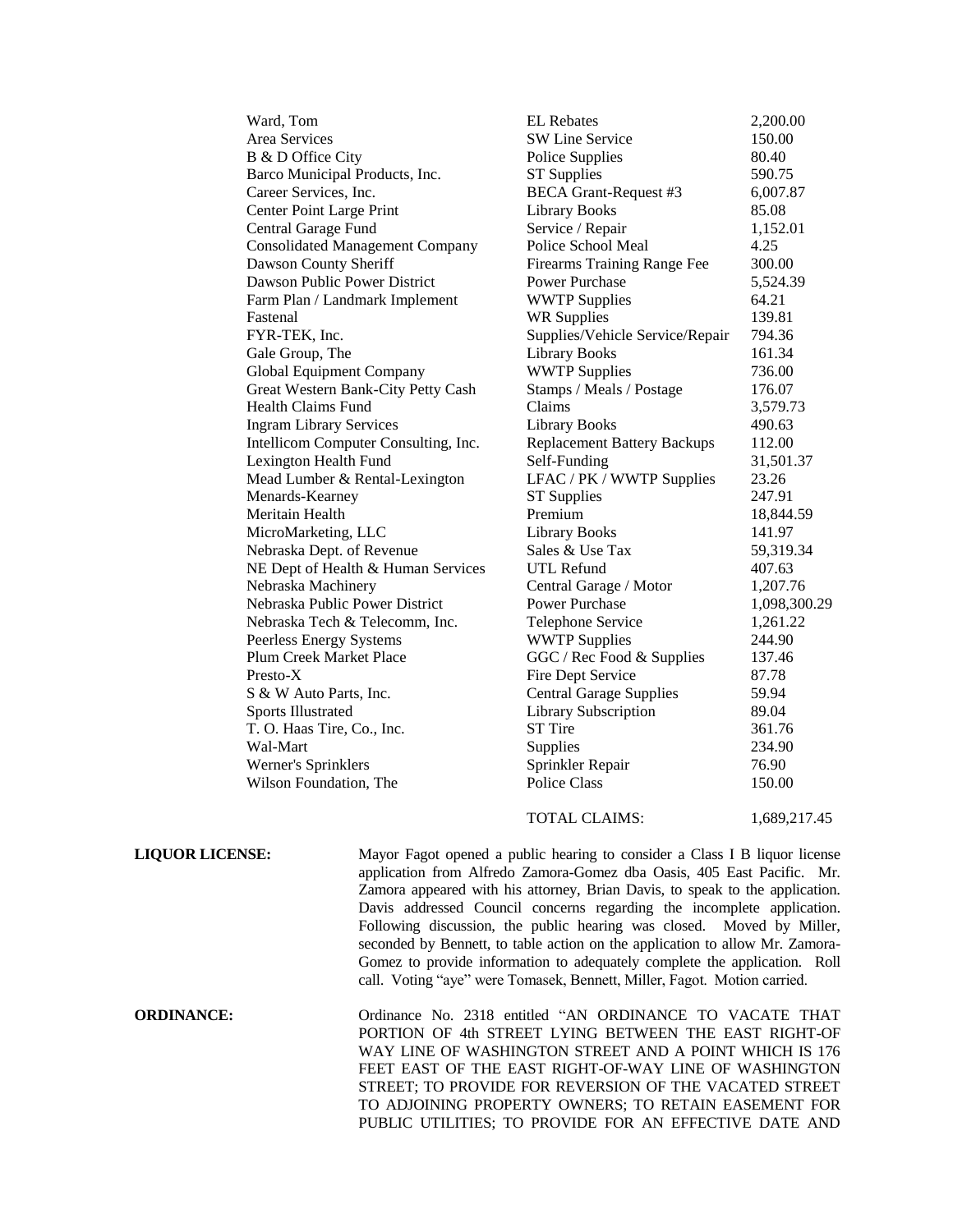| Ward, Tom                              | <b>EL Rebates</b>                  | 2,200.00     |
|----------------------------------------|------------------------------------|--------------|
| Area Services                          | <b>SW Line Service</b>             | 150.00       |
| B & D Office City                      | Police Supplies                    | 80.40        |
| Barco Municipal Products, Inc.         | <b>ST Supplies</b>                 | 590.75       |
| Career Services, Inc.                  | <b>BECA Grant-Request #3</b>       | 6,007.87     |
| Center Point Large Print               | Library Books                      | 85.08        |
| Central Garage Fund                    | Service / Repair                   | 1,152.01     |
| <b>Consolidated Management Company</b> | Police School Meal                 | 4.25         |
| Dawson County Sheriff                  | Firearms Training Range Fee        | 300.00       |
| Dawson Public Power District           | <b>Power Purchase</b>              | 5,524.39     |
| Farm Plan / Landmark Implement         | <b>WWTP Supplies</b>               | 64.21        |
| Fastenal                               | <b>WR Supplies</b>                 | 139.81       |
| FYR-TEK, Inc.                          | Supplies/Vehicle Service/Repair    | 794.36       |
| Gale Group, The                        | <b>Library Books</b>               | 161.34       |
| Global Equipment Company               | <b>WWTP Supplies</b>               | 736.00       |
| Great Western Bank-City Petty Cash     | Stamps / Meals / Postage           | 176.07       |
| <b>Health Claims Fund</b>              | Claims                             | 3,579.73     |
| <b>Ingram Library Services</b>         | <b>Library Books</b>               | 490.63       |
| Intellicom Computer Consulting, Inc.   | <b>Replacement Battery Backups</b> | 112.00       |
| Lexington Health Fund                  | Self-Funding                       | 31,501.37    |
| Mead Lumber & Rental-Lexington         | LFAC / PK / WWTP Supplies          | 23.26        |
| Menards-Kearney                        | <b>ST Supplies</b>                 | 247.91       |
| Meritain Health                        | Premium                            | 18,844.59    |
| MicroMarketing, LLC                    | Library Books                      | 141.97       |
| Nebraska Dept. of Revenue              | Sales & Use Tax                    | 59,319.34    |
| NE Dept of Health & Human Services     | <b>UTL Refund</b>                  | 407.63       |
| Nebraska Machinery                     | Central Garage / Motor             | 1,207.76     |
| Nebraska Public Power District         | <b>Power Purchase</b>              | 1,098,300.29 |
| Nebraska Tech & Telecomm, Inc.         | Telephone Service                  | 1,261.22     |
| Peerless Energy Systems                | <b>WWTP Supplies</b>               | 244.90       |
| <b>Plum Creek Market Place</b>         | GGC / Rec Food & Supplies          | 137.46       |
| $Presto-X$                             | Fire Dept Service                  | 87.78        |
| S & W Auto Parts, Inc.                 | <b>Central Garage Supplies</b>     | 59.94        |
| <b>Sports Illustrated</b>              | Library Subscription               | 89.04        |
| T. O. Haas Tire, Co., Inc.             | ST Tire                            | 361.76       |
| Wal-Mart                               | Supplies                           | 234.90       |
| Werner's Sprinklers                    | Sprinkler Repair                   | 76.90        |
| Wilson Foundation, The                 | <b>Police Class</b>                | 150.00       |
|                                        |                                    |              |

TOTAL CLAIMS: 1,689,217.45

**LIQUOR LICENSE:** Mayor Fagot opened a public hearing to consider a Class I B liquor license application from Alfredo Zamora-Gomez dba Oasis, 405 East Pacific. Mr. Zamora appeared with his attorney, Brian Davis, to speak to the application. Davis addressed Council concerns regarding the incomplete application. Following discussion, the public hearing was closed. Moved by Miller, seconded by Bennett, to table action on the application to allow Mr. Zamora-Gomez to provide information to adequately complete the application. Roll call. Voting "aye" were Tomasek, Bennett, Miller, Fagot. Motion carried.

**ORDINANCE:** Ordinance No. 2318 entitled "AN ORDINANCE TO VACATE THAT PORTION OF 4th STREET LYING BETWEEN THE EAST RIGHT-OF WAY LINE OF WASHINGTON STREET AND A POINT WHICH IS 176 FEET EAST OF THE EAST RIGHT-OF-WAY LINE OF WASHINGTON STREET; TO PROVIDE FOR REVERSION OF THE VACATED STREET TO ADJOINING PROPERTY OWNERS; TO RETAIN EASEMENT FOR PUBLIC UTILITIES; TO PROVIDE FOR AN EFFECTIVE DATE AND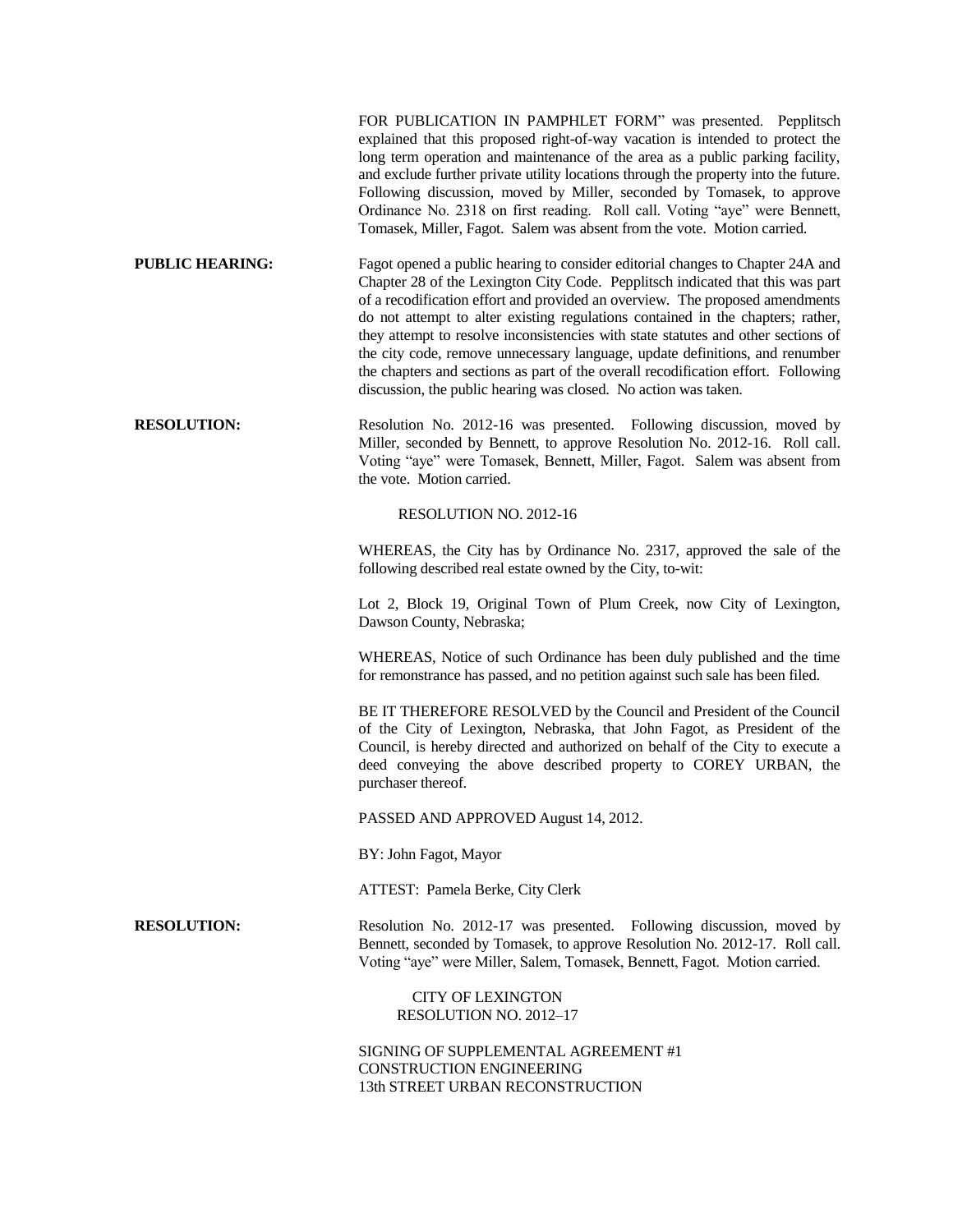|                        | FOR PUBLICATION IN PAMPHLET FORM" was presented. Pepplitsch<br>explained that this proposed right-of-way vacation is intended to protect the<br>long term operation and maintenance of the area as a public parking facility,<br>and exclude further private utility locations through the property into the future.<br>Following discussion, moved by Miller, seconded by Tomasek, to approve<br>Ordinance No. 2318 on first reading. Roll call. Voting "aye" were Bennett,<br>Tomasek, Miller, Fagot. Salem was absent from the vote. Motion carried.                                                                                                          |  |  |
|------------------------|------------------------------------------------------------------------------------------------------------------------------------------------------------------------------------------------------------------------------------------------------------------------------------------------------------------------------------------------------------------------------------------------------------------------------------------------------------------------------------------------------------------------------------------------------------------------------------------------------------------------------------------------------------------|--|--|
| <b>PUBLIC HEARING:</b> | Fagot opened a public hearing to consider editorial changes to Chapter 24A and<br>Chapter 28 of the Lexington City Code. Pepplitsch indicated that this was part<br>of a recodification effort and provided an overview. The proposed amendments<br>do not attempt to alter existing regulations contained in the chapters; rather,<br>they attempt to resolve inconsistencies with state statutes and other sections of<br>the city code, remove unnecessary language, update definitions, and renumber<br>the chapters and sections as part of the overall recodification effort. Following<br>discussion, the public hearing was closed. No action was taken. |  |  |
| <b>RESOLUTION:</b>     | Resolution No. 2012-16 was presented. Following discussion, moved by<br>Miller, seconded by Bennett, to approve Resolution No. 2012-16. Roll call.<br>Voting "aye" were Tomasek, Bennett, Miller, Fagot. Salem was absent from<br>the vote. Motion carried.                                                                                                                                                                                                                                                                                                                                                                                                      |  |  |
| RESOLUTION NO. 2012-16 |                                                                                                                                                                                                                                                                                                                                                                                                                                                                                                                                                                                                                                                                  |  |  |
|                        | WHEREAS, the City has by Ordinance No. 2317, approved the sale of the<br>following described real estate owned by the City, to-wit:                                                                                                                                                                                                                                                                                                                                                                                                                                                                                                                              |  |  |
|                        | Lot 2, Block 19, Original Town of Plum Creek, now City of Lexington,<br>Dawson County, Nebraska;                                                                                                                                                                                                                                                                                                                                                                                                                                                                                                                                                                 |  |  |
|                        | WHEREAS, Notice of such Ordinance has been duly published and the time<br>for remonstrance has passed, and no petition against such sale has been filed.                                                                                                                                                                                                                                                                                                                                                                                                                                                                                                         |  |  |
|                        | BE IT THEREFORE RESOLVED by the Council and President of the Council<br>of the City of Lexington, Nebraska, that John Fagot, as President of the<br>Council, is hereby directed and authorized on behalf of the City to execute a<br>deed conveying the above described property to COREY URBAN, the<br>purchaser thereof.                                                                                                                                                                                                                                                                                                                                       |  |  |
|                        | PASSED AND APPROVED August 14, 2012.                                                                                                                                                                                                                                                                                                                                                                                                                                                                                                                                                                                                                             |  |  |
|                        | BY: John Fagot, Mayor                                                                                                                                                                                                                                                                                                                                                                                                                                                                                                                                                                                                                                            |  |  |
|                        | ATTEST: Pamela Berke, City Clerk                                                                                                                                                                                                                                                                                                                                                                                                                                                                                                                                                                                                                                 |  |  |
| <b>RESOLUTION:</b>     | Resolution No. 2012-17 was presented. Following discussion, moved by<br>Bennett, seconded by Tomasek, to approve Resolution No. 2012-17. Roll call.<br>Voting "aye" were Miller, Salem, Tomasek, Bennett, Fagot. Motion carried.                                                                                                                                                                                                                                                                                                                                                                                                                                 |  |  |
|                        | <b>CITY OF LEXINGTON</b><br>RESOLUTION NO. 2012-17                                                                                                                                                                                                                                                                                                                                                                                                                                                                                                                                                                                                               |  |  |
|                        | SIGNING OF SUPPLEMENTAL AGREEMENT #1<br>CONSTRUCTION ENGINEERING<br>13th STREET URBAN RECONSTRUCTION                                                                                                                                                                                                                                                                                                                                                                                                                                                                                                                                                             |  |  |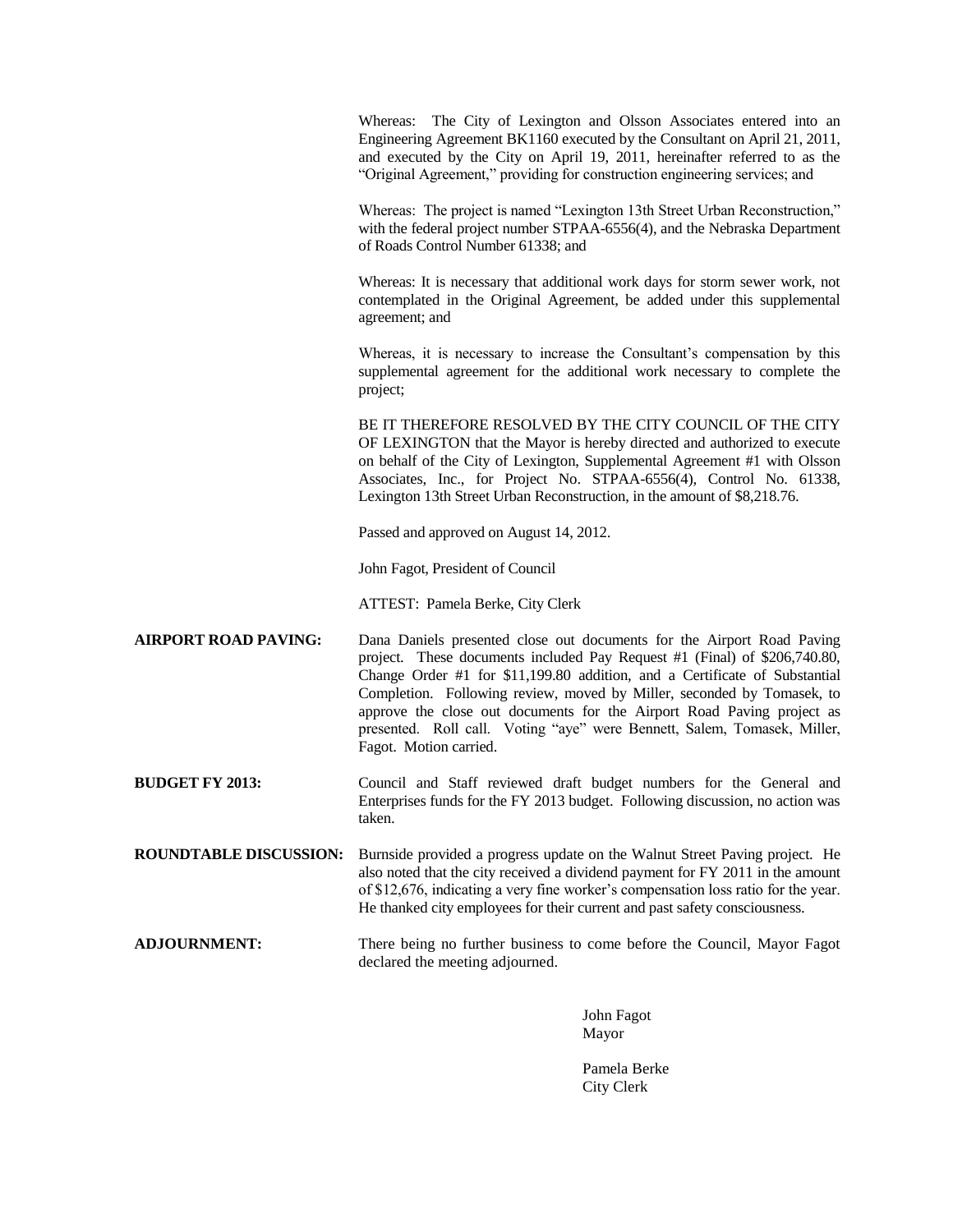Whereas: The City of Lexington and Olsson Associates entered into an Engineering Agreement BK1160 executed by the Consultant on April 21, 2011, and executed by the City on April 19, 2011, hereinafter referred to as the "Original Agreement," providing for construction engineering services; and

Whereas: The project is named "Lexington 13th Street Urban Reconstruction," with the federal project number STPAA-6556(4), and the Nebraska Department of Roads Control Number 61338; and

Whereas: It is necessary that additional work days for storm sewer work, not contemplated in the Original Agreement, be added under this supplemental agreement; and

Whereas, it is necessary to increase the Consultant's compensation by this supplemental agreement for the additional work necessary to complete the project;

BE IT THEREFORE RESOLVED BY THE CITY COUNCIL OF THE CITY OF LEXINGTON that the Mayor is hereby directed and authorized to execute on behalf of the City of Lexington, Supplemental Agreement #1 with Olsson Associates, Inc., for Project No. STPAA-6556(4), Control No. 61338, Lexington 13th Street Urban Reconstruction, in the amount of \$8,218.76.

Passed and approved on August 14, 2012.

John Fagot, President of Council

ATTEST: Pamela Berke, City Clerk

- **AIRPORT ROAD PAVING:** Dana Daniels presented close out documents for the Airport Road Paving project. These documents included Pay Request #1 (Final) of \$206,740.80, Change Order #1 for \$11,199.80 addition, and a Certificate of Substantial Completion. Following review, moved by Miller, seconded by Tomasek, to approve the close out documents for the Airport Road Paving project as presented. Roll call. Voting "aye" were Bennett, Salem, Tomasek, Miller, Fagot. Motion carried.
- **BUDGET FY 2013:** Council and Staff reviewed draft budget numbers for the General and Enterprises funds for the FY 2013 budget. Following discussion, no action was taken.
- **ROUNDTABLE DISCUSSION:** Burnside provided a progress update on the Walnut Street Paving project. He also noted that the city received a dividend payment for FY 2011 in the amount of \$12,676, indicating a very fine worker's compensation loss ratio for the year. He thanked city employees for their current and past safety consciousness.
- **ADJOURNMENT:** There being no further business to come before the Council, Mayor Fagot declared the meeting adjourned.

John Fagot Mayor

Pamela Berke City Clerk